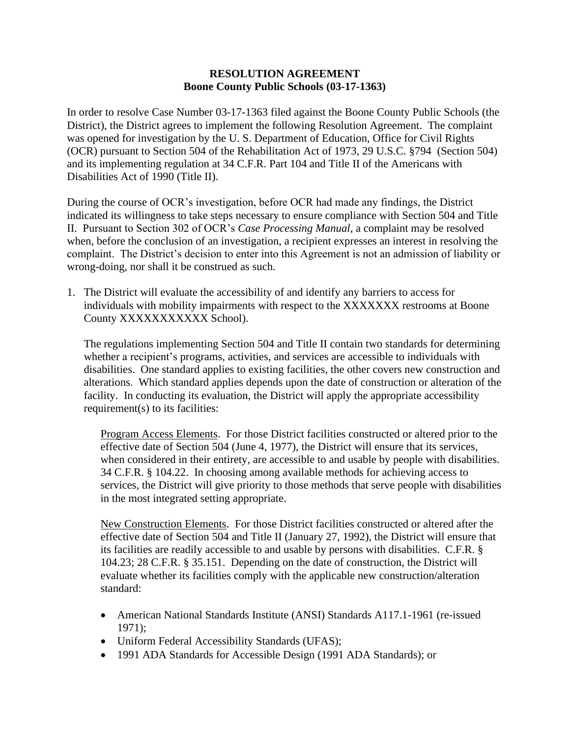## **RESOLUTION AGREEMENT Boone County Public Schools (03-17-1363)**

In order to resolve Case Number 03-17-1363 filed against the Boone County Public Schools (the District), the District agrees to implement the following Resolution Agreement. The complaint was opened for investigation by the U. S. Department of Education, Office for Civil Rights (OCR) pursuant to Section 504 of the Rehabilitation Act of 1973, 29 U.S.C. §794 (Section 504) and its implementing regulation at 34 C.F.R. Part 104 and Title II of the Americans with Disabilities Act of 1990 (Title II).

During the course of OCR's investigation, before OCR had made any findings, the District indicated its willingness to take steps necessary to ensure compliance with Section 504 and Title II. Pursuant to Section 302 of OCR's *Case Processing Manual*, a complaint may be resolved when, before the conclusion of an investigation, a recipient expresses an interest in resolving the complaint. The District's decision to enter into this Agreement is not an admission of liability or wrong-doing, nor shall it be construed as such.

1. The District will evaluate the accessibility of and identify any barriers to access for individuals with mobility impairments with respect to the XXXXXXX restrooms at Boone County XXXXXXXXXXX School).

The regulations implementing Section 504 and Title II contain two standards for determining whether a recipient's programs, activities, and services are accessible to individuals with disabilities. One standard applies to existing facilities, the other covers new construction and alterations. Which standard applies depends upon the date of construction or alteration of the facility. In conducting its evaluation, the District will apply the appropriate accessibility requirement(s) to its facilities:

Program Access Elements. For those District facilities constructed or altered prior to the effective date of Section 504 (June 4, 1977), the District will ensure that its services, when considered in their entirety, are accessible to and usable by people with disabilities. 34 C.F.R. § 104.22. In choosing among available methods for achieving access to services, the District will give priority to those methods that serve people with disabilities in the most integrated setting appropriate.

New Construction Elements. For those District facilities constructed or altered after the effective date of Section 504 and Title II (January 27, 1992), the District will ensure that its facilities are readily accessible to and usable by persons with disabilities. C.F.R. § 104.23; 28 C.F.R. § 35.151. Depending on the date of construction, the District will evaluate whether its facilities comply with the applicable new construction/alteration standard:

- American National Standards Institute (ANSI) Standards A117.1-1961 (re-issued 1971);
- Uniform Federal Accessibility Standards (UFAS);
- 1991 ADA Standards for Accessible Design (1991 ADA Standards); or